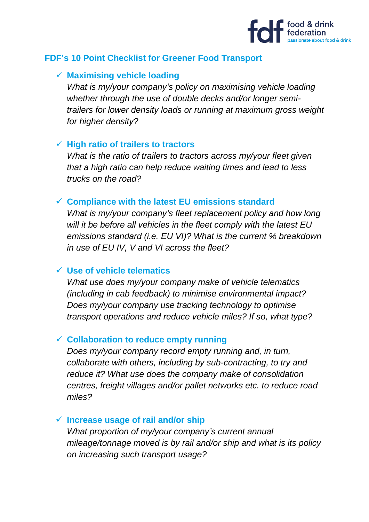

# **FDF's 10 Point Checklist for Greener Food Transport**

### ✓ **Maximising vehicle loading**

*What is my/your company's policy on maximising vehicle loading whether through the use of double decks and/or longer semitrailers for lower density loads or running at maximum gross weight for higher density?*

### ✓ **High ratio of trailers to tractors**

*What is the ratio of trailers to tractors across my/your fleet given that a high ratio can help reduce waiting times and lead to less trucks on the road?*

### ✓ **Compliance with the latest EU emissions standard**

*What is my/your company's fleet replacement policy and how long will it be before all vehicles in the fleet comply with the latest EU emissions standard (i.e. EU VI)? What is the current % breakdown in use of EU IV, V and VI across the fleet?*

### ✓ **Use of vehicle telematics**

*What use does my/your company make of vehicle telematics (including in cab feedback) to minimise environmental impact? Does my/your company use tracking technology to optimise transport operations and reduce vehicle miles? If so, what type?*

### ✓ **Collaboration to reduce empty running**

*Does my/your company record empty running and, in turn, collaborate with others, including by sub-contracting, to try and reduce it? What use does the company make of consolidation centres, freight villages and/or pallet networks etc. to reduce road miles?* 

# ✓ **Increase usage of rail and/or ship**

*What proportion of my/your company's current annual mileage/tonnage moved is by rail and/or ship and what is its policy on increasing such transport usage?*